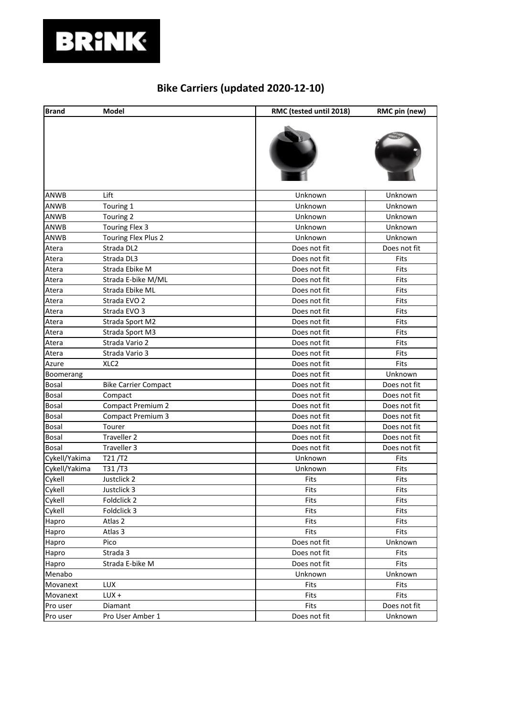

## **Bike Carriers (updated 2020-12-10)**

| <b>Brand</b>  | Model                       | RMC (tested until 2018) | RMC pin (new) |
|---------------|-----------------------------|-------------------------|---------------|
|               |                             |                         |               |
| ANWB          | Lift                        | Unknown                 | Unknown       |
| ANWB          | Touring 1                   | Unknown                 | Unknown       |
| ANWB          | Touring 2                   | Unknown                 | Unknown       |
| ANWB          | Touring Flex 3              | Unknown                 | Unknown       |
| ANWB          | Touring Flex Plus 2         | Unknown                 | Unknown       |
| Atera         | Strada DL2                  | Does not fit            | Does not fit  |
| Atera         | Strada DL3                  | Does not fit            | Fits          |
| Atera         | Strada Ebike M              | Does not fit            | Fits          |
| Atera         | Strada E-bike M/ML          | Does not fit            | Fits          |
| Atera         | Strada Ebike ML             | Does not fit            | Fits          |
| Atera         | Strada EVO 2                | Does not fit            | Fits          |
| Atera         | Strada EVO 3                | Does not fit            | Fits          |
| Atera         | Strada Sport M2             | Does not fit            | Fits          |
| Atera         | Strada Sport M3             | Does not fit            | Fits          |
| Atera         | Strada Vario 2              | Does not fit            | Fits          |
| Atera         | Strada Vario 3              | Does not fit            | Fits          |
| Azure         | XLC <sub>2</sub>            | Does not fit            | Fits          |
| Boomerang     |                             | Does not fit            | Unknown       |
| Bosal         | <b>Bike Carrier Compact</b> | Does not fit            | Does not fit  |
| Bosal         | Compact                     | Does not fit            | Does not fit  |
| Bosal         | Compact Premium 2           | Does not fit            | Does not fit  |
| Bosal         | <b>Compact Premium 3</b>    | Does not fit            | Does not fit  |
| <b>Bosal</b>  | Tourer                      | Does not fit            | Does not fit  |
| <b>Bosal</b>  | Traveller 2                 | Does not fit            | Does not fit  |
| <b>Bosal</b>  | Traveller 3                 | Does not fit            | Does not fit  |
| Cykell/Yakima | T21/T2                      | Unknown                 | Fits          |
| Cykell/Yakima | T31/T3                      | Unknown                 | Fits          |
| Cykell        | Justclick 2                 | Fits                    | Fits          |
| Cykell        | Justclick 3                 | Fits                    | Fits          |
| Cykell        | Foldclick 2                 | Fits                    | Fits          |
| Cykell        | Foldclick 3                 | Fits                    | Fits          |
| Hapro         | Atlas 2                     | Fits                    | Fits          |
| Hapro         | Atlas 3                     | Fits                    | Fits          |
| Hapro         | Pico                        | Does not fit            | Unknown       |
| Hapro         | Strada 3                    | Does not fit            | Fits          |
| Hapro         | Strada E-bike M             | Does not fit            | Fits          |
| Menabo        |                             | Unknown                 | Unknown       |
| Movanext      | <b>LUX</b>                  | Fits                    | Fits          |
| Movanext      | $LUX +$                     | Fits                    | Fits          |
| Pro user      | Diamant                     | Fits                    | Does not fit  |
| Pro user      | Pro User Amber 1            | Does not fit            | Unknown       |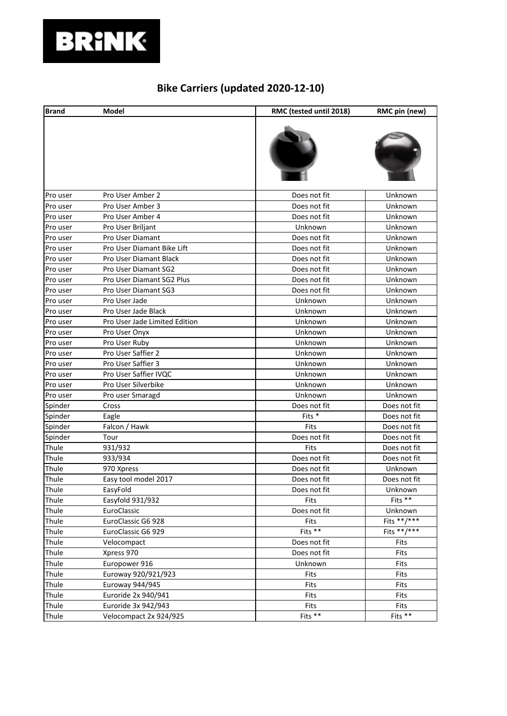# **BRINK**

## **Bike Carriers (updated 2020-12-10)**

| <b>Brand</b> | Model                         | RMC (tested until 2018) | RMC pin (new) |
|--------------|-------------------------------|-------------------------|---------------|
|              |                               |                         |               |
| Pro user     | Pro User Amber 2              | Does not fit            | Unknown       |
| Pro user     | Pro User Amber 3              | Does not fit            | Unknown       |
| Pro user     | Pro User Amber 4              | Does not fit            | Unknown       |
| Pro user     | Pro User Briljant             | Unknown                 | Unknown       |
| Pro user     | Pro User Diamant              | Does not fit            | Unknown       |
| Pro user     | Pro User Diamant Bike Lift    | Does not fit            | Unknown       |
| Pro user     | Pro User Diamant Black        | Does not fit            | Unknown       |
| Pro user     | Pro User Diamant SG2          | Does not fit            | Unknown       |
| Pro user     | Pro User Diamant SG2 Plus     | Does not fit            | Unknown       |
| Pro user     | Pro User Diamant SG3          | Does not fit            | Unknown       |
| Pro user     | Pro User Jade                 | Unknown                 | Unknown       |
| Pro user     | Pro User Jade Black           | Unknown                 | Unknown       |
| Pro user     | Pro User Jade Limited Edition | Unknown                 | Unknown       |
| Pro user     | Pro User Onyx                 | Unknown                 | Unknown       |
| Pro user     | Pro User Ruby                 | Unknown                 | Unknown       |
| Pro user     | Pro User Saffier 2            | Unknown                 | Unknown       |
| Pro user     | Pro User Saffier 3            | Unknown                 | Unknown       |
| Pro user     | Pro User Saffier IVQC         | Unknown                 | Unknown       |
| Pro user     | Pro User Silverbike           | Unknown                 | Unknown       |
| Pro user     | Pro user Smaragd              | Unknown                 | Unknown       |
| Spinder      | Cross                         | Does not fit            | Does not fit  |
| Spinder      | Eagle                         | Fits *                  | Does not fit  |
| Spinder      | Falcon / Hawk                 | Fits                    | Does not fit  |
| Spinder      | Tour                          | Does not fit            | Does not fit  |
| Thule        | 931/932                       | Fits                    | Does not fit  |
| Thule        | 933/934                       | Does not fit            | Does not fit  |
| Thule        | 970 Xpress                    | Does not fit            | Unknown       |
| Thule        | Easy tool model 2017          | Does not fit            | Does not fit  |
| Thule        | EasyFold                      | Does not fit            | Unknown       |
| Thule        | Easyfold 931/932              | Fits                    | Fits **       |
| Thule        | EuroClassic                   | Does not fit            | Unknown       |
| Thule        | EuroClassic G6 928            | Fits                    | Fits **/***   |
| Thule        | EuroClassic G6 929            | Fits $**$               | Fits **/***   |
| Thule        | Velocompact                   | Does not fit            | Fits          |
| Thule        | Xpress 970                    | Does not fit            | Fits          |
| Thule        | Europower 916                 | Unknown                 | Fits          |
| Thule        | Euroway 920/921/923           | Fits                    | Fits          |
| Thule        | Euroway 944/945               | Fits                    | Fits          |
| Thule        | Euroride 2x 940/941           | Fits                    | Fits          |
| Thule        | Euroride 3x 942/943           | Fits                    | Fits          |
| Thule        | Velocompact 2x 924/925        | Fits **                 | Fits **       |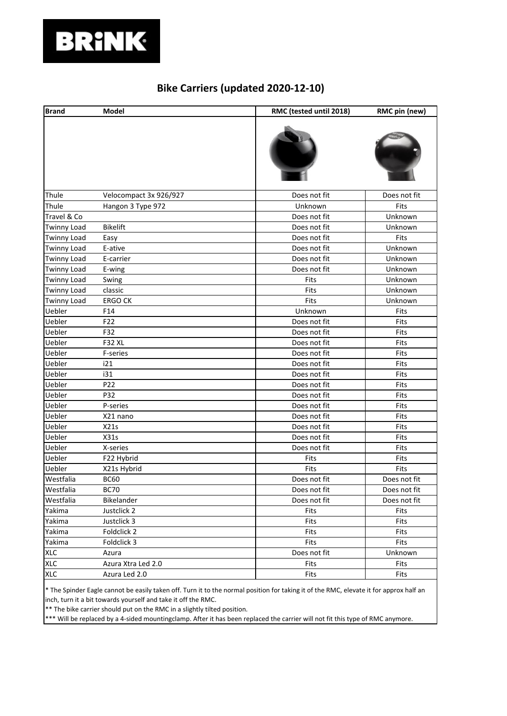

#### **Bike Carriers (updated 2020-12-10)**

| <b>Brand</b>       | Model                  | RMC (tested until 2018) | RMC pin (new) |
|--------------------|------------------------|-------------------------|---------------|
|                    |                        |                         |               |
| Thule              | Velocompact 3x 926/927 | Does not fit            | Does not fit  |
| Thule              | Hangon 3 Type 972      | Unknown                 | Fits          |
| Travel & Co        |                        | Does not fit            | Unknown       |
| <b>Twinny Load</b> | <b>Bikelift</b>        | Does not fit            | Unknown       |
| <b>Twinny Load</b> | Easy                   | Does not fit            | Fits          |
| <b>Twinny Load</b> | E-ative                | Does not fit            | Unknown       |
| <b>Twinny Load</b> | E-carrier              | Does not fit            | Unknown       |
| <b>Twinny Load</b> | E-wing                 | Does not fit            | Unknown       |
| <b>Twinny Load</b> | Swing                  | Fits                    | Unknown       |
| <b>Twinny Load</b> | classic                | Fits                    | Unknown       |
| <b>Twinny Load</b> | <b>ERGO CK</b>         | Fits                    | Unknown       |
| Uebler             | F14                    | Unknown                 | Fits          |
| Uebler             | F22                    | Does not fit            | Fits          |
| Uebler             | F32                    | Does not fit            | Fits          |
| Uebler             | <b>F32 XL</b>          | Does not fit            | Fits          |
| Uebler             | F-series               | Does not fit            | Fits          |
| Uebler             | i21                    | Does not fit            | Fits          |
| Uebler             | i31                    | Does not fit            | Fits          |
| Uebler             | P <sub>22</sub>        | Does not fit            | Fits          |
| Uebler             | P32                    | Does not fit            | Fits          |
| Uebler             | P-series               | Does not fit            | Fits          |
| Uebler             | X21 nano               | Does not fit            | Fits          |
| Uebler             | X21s                   | Does not fit            | Fits          |
| Uebler             | X31s                   | Does not fit            | Fits          |
| Uebler             | X-series               | Does not fit            | Fits          |
| Uebler             | F22 Hybrid             | Fits                    | Fits          |
| Uebler             | X21s Hybrid            | Fits                    | Fits          |
| Westfalia          | <b>BC60</b>            | Does not fit            | Does not fit  |
| Westfalia          | <b>BC70</b>            | Does not fit            | Does not fit  |
| Westfalia          | Bikelander             | Does not fit            | Does not fit  |
| Yakima             | Justclick 2            | Fits                    | Fits          |
| Yakima             | Justclick 3            | Fits                    | Fits          |
| Yakima             | Foldclick 2            | Fits                    | Fits          |
| Yakima             | Foldclick 3            | Fits                    | Fits          |
| <b>XLC</b>         | Azura                  | Does not fit            | Unknown       |
| <b>XLC</b>         | Azura Xtra Led 2.0     | Fits                    | Fits          |
| <b>XLC</b>         | Azura Led 2.0          | Fits                    | Fits          |

\* The Spinder Eagle cannot be easily taken off. Turn it to the normal position for taking it of the RMC, elevate it for approx half an inch, turn it a bit towards yourself and take it off the RMC.

\*\* The bike carrier should put on the RMC in a slightly tilted position.

\*\*\* Will be replaced by a 4-sided mountingclamp. After it has been replaced the carrier will not fit this type of RMC anymore.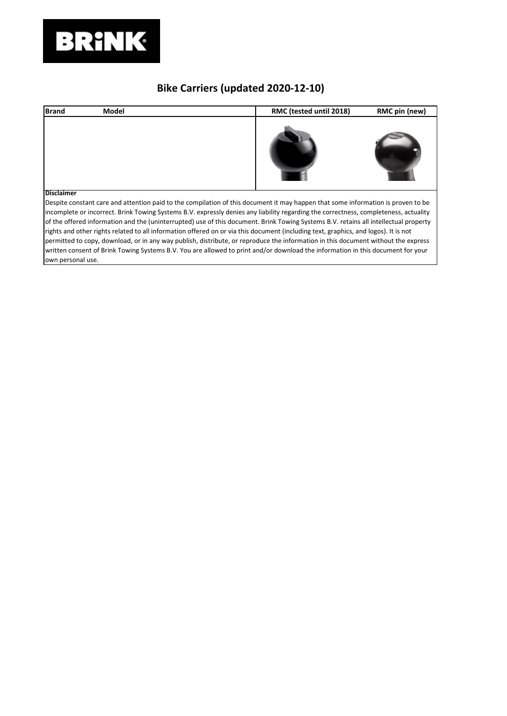

## **Bike Carriers (updated 2020-12-10)**

| <b>Brand</b>      | Model | RMC (tested until 2018)                                                                                                                                                                                                                                                                                                                                                                                          | RMC pin (new) |
|-------------------|-------|------------------------------------------------------------------------------------------------------------------------------------------------------------------------------------------------------------------------------------------------------------------------------------------------------------------------------------------------------------------------------------------------------------------|---------------|
|                   |       |                                                                                                                                                                                                                                                                                                                                                                                                                  |               |
| <b>Disclaimer</b> |       |                                                                                                                                                                                                                                                                                                                                                                                                                  |               |
|                   |       | Despite constant care and attention paid to the compilation of this document it may happen that some information is proven to be<br>incomplete or incorrect. Brink Towing Systems B.V. expressly denies any liability regarding the correctness, completeness, actuality                                                                                                                                         |               |
|                   |       | of the offered information and the (uninterrupted) use of this document. Brink Towing Systems B.V. retains all intellectual property<br>rights and other rights related to all information offered on or via this document (including text, graphics, and logos). It is not<br>permitted to copy, download, or in any way publish, distribute, or reproduce the information in this document without the express |               |
|                   |       |                                                                                                                                                                                                                                                                                                                                                                                                                  |               |
|                   |       | written consent of Brink Towing Systems B.V. You are allowed to print and/or download the information in this document for your                                                                                                                                                                                                                                                                                  |               |
| own personal use. |       |                                                                                                                                                                                                                                                                                                                                                                                                                  |               |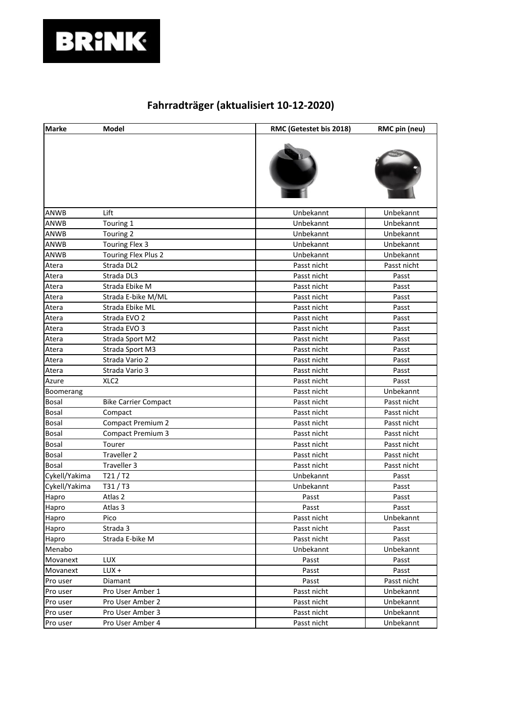

| <b>Marke</b>  | Model                       | RMC (Getestet bis 2018) | RMC pin (neu) |
|---------------|-----------------------------|-------------------------|---------------|
|               |                             |                         |               |
| ANWB          | Lift                        | Unbekannt               | Unbekannt     |
| <b>ANWB</b>   | Touring 1                   | Unbekannt               | Unbekannt     |
| ANWB          | Touring 2                   | Unbekannt               | Unbekannt     |
| ANWB          | Touring Flex 3              | Unbekannt               | Unbekannt     |
| ANWB          | Touring Flex Plus 2         | Unbekannt               | Unbekannt     |
| Atera         | Strada DL2                  | Passt nicht             | Passt nicht   |
| Atera         | Strada DL3                  | Passt nicht             | Passt         |
| Atera         | Strada Ebike M              | Passt nicht             | Passt         |
| Atera         | Strada E-bike M/ML          | Passt nicht             | Passt         |
| Atera         | Strada Ebike ML             | Passt nicht             | Passt         |
| Atera         | Strada EVO 2                | Passt nicht             | Passt         |
| Atera         | Strada EVO 3                | Passt nicht             | Passt         |
| Atera         | Strada Sport M2             | Passt nicht             | Passt         |
| Atera         | Strada Sport M3             | Passt nicht             | Passt         |
| Atera         | Strada Vario 2              | Passt nicht             | Passt         |
| Atera         | Strada Vario 3              | Passt nicht             | Passt         |
| Azure         | XLC <sub>2</sub>            | Passt nicht             | Passt         |
| Boomerang     |                             | Passt nicht             | Unbekannt     |
| Bosal         | <b>Bike Carrier Compact</b> | Passt nicht             | Passt nicht   |
| Bosal         | Compact                     | Passt nicht             | Passt nicht   |
| Bosal         | <b>Compact Premium 2</b>    | Passt nicht             | Passt nicht   |
| Bosal         | <b>Compact Premium 3</b>    | Passt nicht             | Passt nicht   |
| Bosal         | Tourer                      | Passt nicht             | Passt nicht   |
| Bosal         | Traveller 2                 | Passt nicht             | Passt nicht   |
| Bosal         | Traveller 3                 | Passt nicht             | Passt nicht   |
| Cykell/Yakima | T21/T2                      | Unbekannt               | Passt         |
| Cykell/Yakima | T31/T3                      | Unbekannt               | Passt         |
| Hapro         | Atlas 2                     | Passt                   | Passt         |
| Hapro         | Atlas 3                     | Passt                   | Passt         |
| Hapro         | Pico                        | Passt nicht             | Unbekannt     |
| Hapro         | Strada 3                    | Passt nicht             | Passt         |
| Hapro         | Strada E-bike M             | Passt nicht             | Passt         |
| Menabo        |                             | Unbekannt               | Unbekannt     |
| Movanext      | LUX                         | Passt                   | Passt         |
| Movanext      | LUX +                       | Passt                   | Passt         |
| Pro user      | Diamant                     | Passt                   | Passt nicht   |
| Pro user      | Pro User Amber 1            | Passt nicht             | Unbekannt     |
| Pro user      | Pro User Amber 2            | Passt nicht             | Unbekannt     |
| Pro user      | Pro User Amber 3            | Passt nicht             | Unbekannt     |
| Pro user      | Pro User Amber 4            | Passt nicht             | Unbekannt     |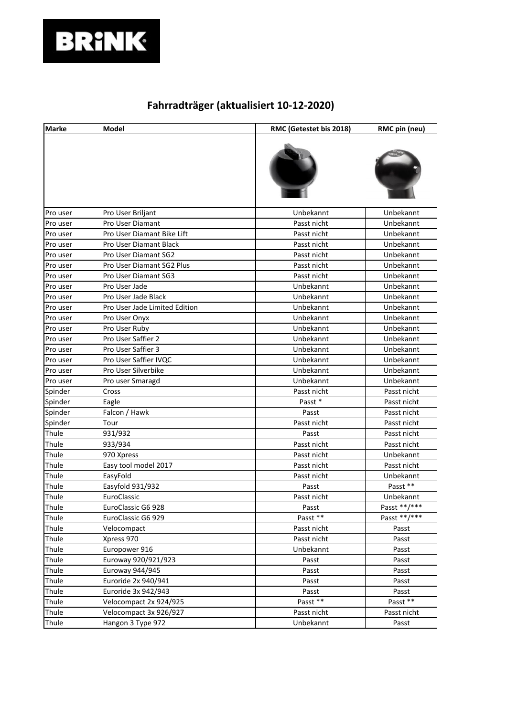

| <b>Marke</b> | Model                         | RMC (Getestet bis 2018) | RMC pin (neu) |
|--------------|-------------------------------|-------------------------|---------------|
|              |                               |                         |               |
| Pro user     | Pro User Briljant             | Unbekannt               | Unbekannt     |
| Pro user     | Pro User Diamant              | Passt nicht             | Unbekannt     |
| Pro user     | Pro User Diamant Bike Lift    | Passt nicht             | Unbekannt     |
| Pro user     | Pro User Diamant Black        | Passt nicht             | Unbekannt     |
| Pro user     | <b>Pro User Diamant SG2</b>   | Passt nicht             | Unbekannt     |
| Pro user     | Pro User Diamant SG2 Plus     | Passt nicht             | Unbekannt     |
| Pro user     | Pro User Diamant SG3          | Passt nicht             | Unbekannt     |
| Pro user     | Pro User Jade                 | Unbekannt               | Unbekannt     |
| Pro user     | Pro User Jade Black           | Unbekannt               | Unbekannt     |
| Pro user     | Pro User Jade Limited Edition | Unbekannt               | Unbekannt     |
| Pro user     | Pro User Onyx                 | Unbekannt               | Unbekannt     |
| Pro user     | Pro User Ruby                 | Unbekannt               | Unbekannt     |
| Pro user     | Pro User Saffier 2            | Unbekannt               | Unbekannt     |
| Pro user     | Pro User Saffier 3            | Unbekannt               | Unbekannt     |
| Pro user     | Pro User Saffier IVQC         | Unbekannt               | Unbekannt     |
| Pro user     | Pro User Silverbike           | Unbekannt               | Unbekannt     |
| Pro user     | Pro user Smaragd              | Unbekannt               | Unbekannt     |
| Spinder      | Cross                         | Passt nicht             | Passt nicht   |
| Spinder      | Eagle                         | Passt*                  | Passt nicht   |
| Spinder      | Falcon / Hawk                 | Passt                   | Passt nicht   |
| Spinder      | Tour                          | Passt nicht             | Passt nicht   |
| Thule        | 931/932                       | Passt                   | Passt nicht   |
| Thule        | 933/934                       | Passt nicht             | Passt nicht   |
| Thule        | 970 Xpress                    | Passt nicht             | Unbekannt     |
| Thule        | Easy tool model 2017          | Passt nicht             | Passt nicht   |
| Thule        | EasyFold                      | Passt nicht             | Unbekannt     |
| Thule        | Easyfold 931/932              | Passt                   | Passt **      |
| Thule        | EuroClassic                   | Passt nicht             | Unbekannt     |
| Thule        | EuroClassic G6 928            | Passt                   | Passt **/***  |
| Thule        | EuroClassic G6 929            | Passt **                | Passt **/***  |
| Thule        | Velocompact                   | Passt nicht             | Passt         |
| Thule        | Xpress 970                    | Passt nicht             | Passt         |
| Thule        | Europower 916                 | Unbekannt               | Passt         |
| Thule        | Euroway 920/921/923           | Passt                   | Passt         |
| Thule        | Euroway 944/945               | Passt                   | Passt         |
| Thule        | Euroride 2x 940/941           | Passt                   | Passt         |
| Thule        | Euroride 3x 942/943           | Passt                   | Passt         |
| Thule        | Velocompact 2x 924/925        | Passt **                | Passt **      |
| Thule        | Velocompact 3x 926/927        | Passt nicht             | Passt nicht   |
| Thule        | Hangon 3 Type 972             | Unbekannt               | Passt         |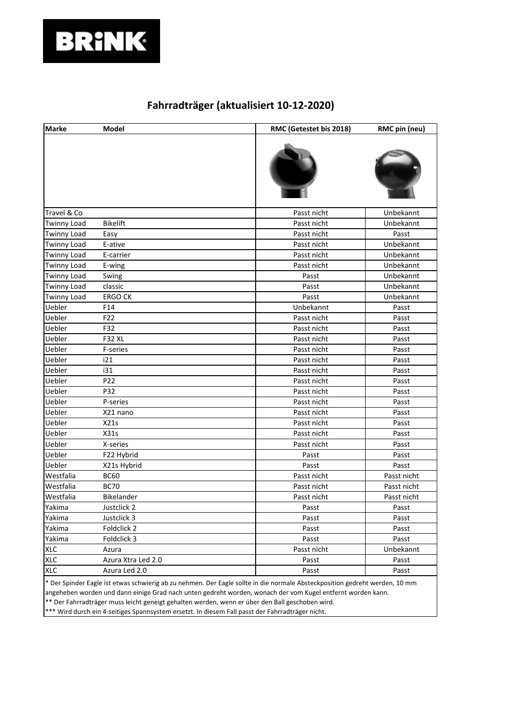

| <b>Marke</b>       | Model              | RMC (Getestet bis 2018) | RMC pin (neu) |
|--------------------|--------------------|-------------------------|---------------|
|                    |                    |                         |               |
| Travel & Co        |                    | Passt nicht             | Unbekannt     |
| <b>Twinny Load</b> | <b>Bikelift</b>    | Passt nicht             | Unbekannt     |
| <b>Twinny Load</b> | Easy               | Passt nicht             | Passt         |
| <b>Twinny Load</b> | E-ative            | Passt nicht             | Unbekannt     |
| <b>Twinny Load</b> | E-carrier          | Passt nicht             | Unbekannt     |
| <b>Twinny Load</b> | E-wing             | Passt nicht             | Unbekannt     |
| <b>Twinny Load</b> | Swing              | Passt                   | Unbekannt     |
| <b>Twinny Load</b> | classic            | Passt                   | Unbekannt     |
| <b>Twinny Load</b> | <b>ERGO CK</b>     | Passt                   | Unbekannt     |
| Uebler             | F14                | Unbekannt               | Passt         |
| Uebler             | F22                | Passt nicht             | Passt         |
| Uebler             | F32                | Passt nicht             | Passt         |
| Uebler             | <b>F32 XL</b>      | Passt nicht             | Passt         |
| Uebler             | <b>F-series</b>    | Passt nicht             | Passt         |
| Uebler             | i21                | Passt nicht             | Passt         |
| Uebler             | i31                | Passt nicht             | Passt         |
| Uebler             | P22                | Passt nicht             | Passt         |
| Uebler             | P32                | Passt nicht             | Passt         |
| Uebler             | P-series           | Passt nicht             | Passt         |
| Uebler             | X21 nano           | Passt nicht             | Passt         |
| Uebler             | X21s               | Passt nicht             | Passt         |
| Uebler             | X31s               | Passt nicht             | Passt         |
| Uebler             | X-series           | Passt nicht             | Passt         |
| Uebler             | F22 Hybrid         | Passt                   | Passt         |
| Uebler             | X21s Hybrid        | Passt                   | Passt         |
| Westfalia          | <b>BC60</b>        | Passt nicht             | Passt nicht   |
| Westfalia          | <b>BC70</b>        | Passt nicht             | Passt nicht   |
| Westfalia          | Bikelander         | Passt nicht             | Passt nicht   |
| Yakima             | Justclick 2        | Passt                   | Passt         |
| Yakima             | Justclick 3        | Passt                   | Passt         |
| Yakima             | Foldclick 2        | Passt                   | Passt         |
| Yakima             | Foldclick 3        | Passt                   | Passt         |
| <b>XLC</b>         | Azura              | Passt nicht             | Unbekannt     |
| <b>XLC</b>         | Azura Xtra Led 2.0 | Passt                   | Passt         |
| <b>XLC</b>         | Azura Led 2.0      | Passt                   | Passt         |
|                    |                    |                         |               |

\* Der Spinder Eagle ist etwas schwierig ab zu nehmen. Der Eagle sollte in die normale Absteckposition gedreht werden, 10 mm angeheben worden und dann einige Grad nach unten gedreht worden, wonach der vom Kugel entfernt worden kann.

\*\* Der Fahrradträger muss leicht geneigt gehalten werden, wenn er über den Ball geschoben wird.

\*\*\* Wird durch ein 4-seitiges Spannsystem ersetzt. In diesem Fall passt der Fahrradträger nicht.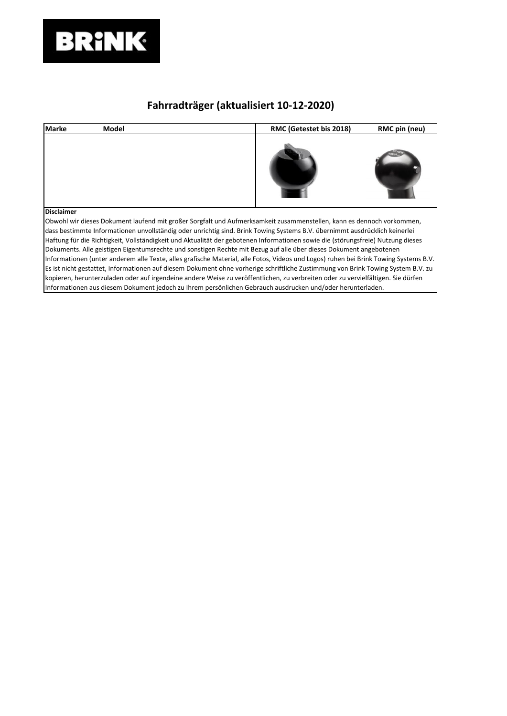

| <b>Marke</b>      | Model                                                                                                                                | RMC (Getestet bis 2018) | RMC pin (neu) |
|-------------------|--------------------------------------------------------------------------------------------------------------------------------------|-------------------------|---------------|
|                   |                                                                                                                                      |                         |               |
| <b>Disclaimer</b> |                                                                                                                                      |                         |               |
|                   | Obwohl wir dieses Dokument laufend mit großer Sorgfalt und Aufmerksamkeit zusammenstellen, kann es dennoch vorkommen,                |                         |               |
|                   | dass bestimmte Informationen unvollständig oder unrichtig sind. Brink Towing Systems B.V. übernimmt ausdrücklich keinerlei           |                         |               |
|                   | Haftung für die Richtigkeit, Vollständigkeit und Aktualität der gebotenen Informationen sowie die (störungsfreie) Nutzung dieses     |                         |               |
|                   | Dokuments. Alle geistigen Eigentumsrechte und sonstigen Rechte mit Bezug auf alle über dieses Dokument angebotenen                   |                         |               |
|                   | Informationen (unter anderem alle Texte, alles grafische Material, alle Fotos, Videos und Logos) ruhen bei Brink Towing Systems B.V. |                         |               |
|                   | Es ist nicht gestattet, Informationen auf diesem Dokument ohne vorherige schriftliche Zustimmung von Brink Towing System B.V. zu     |                         |               |
|                   | kopieren, herunterzuladen oder auf irgendeine andere Weise zu veröffentlichen, zu verbreiten oder zu vervielfältigen. Sie dürfen     |                         |               |
|                   | Informationen aus diesem Dokument jedoch zu Ihrem persönlichen Gebrauch ausdrucken und/oder herunterladen.                           |                         |               |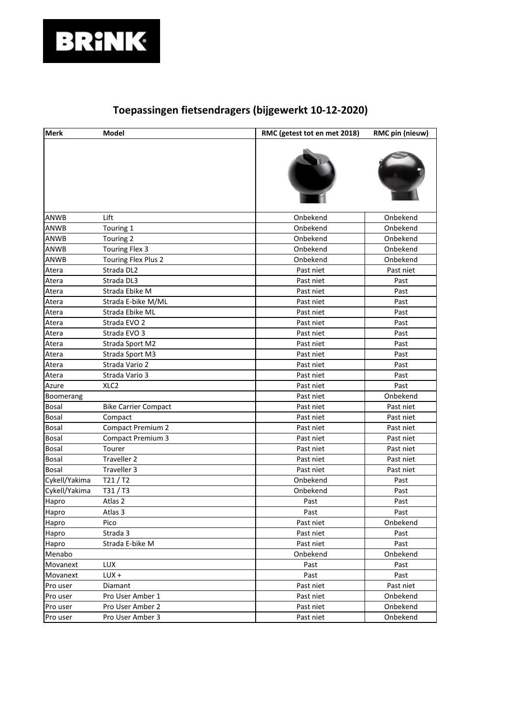

| <b>Merk</b>   | Model                       | RMC (getest tot en met 2018) | RMC pin (nieuw) |
|---------------|-----------------------------|------------------------------|-----------------|
|               |                             |                              |                 |
| ANWB          | Lift                        | Onbekend                     | Onbekend        |
| ANWB          | Touring 1                   | Onbekend                     | Onbekend        |
| ANWB          | Touring 2                   | Onbekend                     | Onbekend        |
| ANWB          | Touring Flex 3              | Onbekend                     | Onbekend        |
| ANWB          | Touring Flex Plus 2         | Onbekend                     | Onbekend        |
| Atera         | Strada DL2                  | Past niet                    | Past niet       |
| Atera         | Strada DL3                  | Past niet                    | Past            |
| Atera         | Strada Ebike M              | Past niet                    | Past            |
| Atera         | Strada E-bike M/ML          | Past niet                    | Past            |
| Atera         | Strada Ebike ML             | Past niet                    | Past            |
| Atera         | Strada EVO 2                | Past niet                    | Past            |
| Atera         | Strada EVO 3                | Past niet                    | Past            |
| Atera         | Strada Sport M2             | Past niet                    | Past            |
| Atera         | Strada Sport M3             | Past niet                    | Past            |
| Atera         | Strada Vario 2              | Past niet                    | Past            |
| Atera         | Strada Vario 3              | Past niet                    | Past            |
| Azure         | XLC <sub>2</sub>            | Past niet                    | Past            |
| Boomerang     |                             | Past niet                    | Onbekend        |
| Bosal         | <b>Bike Carrier Compact</b> | Past niet                    | Past niet       |
| <b>Bosal</b>  | Compact                     | Past niet                    | Past niet       |
| Bosal         | <b>Compact Premium 2</b>    | Past niet                    | Past niet       |
| Bosal         | <b>Compact Premium 3</b>    | Past niet                    | Past niet       |
| Bosal         | Tourer                      | Past niet                    | Past niet       |
| Bosal         | Traveller 2                 | Past niet                    | Past niet       |
| Bosal         | Traveller 3                 | Past niet                    | Past niet       |
| Cykell/Yakima | T21/T2                      | Onbekend                     | Past            |
| Cykell/Yakima | T31/T3                      | Onbekend                     | Past            |
| Hapro         | Atlas 2                     | Past                         | Past            |
| Hapro         | Atlas 3                     | Past                         | Past            |
| Hapro         | Pico                        | Past niet                    | Onbekend        |
| Hapro         | Strada 3                    | Past niet                    | Past            |
| Hapro         | Strada E-bike M             | Past niet                    | Past            |
| Menabo        |                             | Onbekend                     | Onbekend        |
| Movanext      | <b>LUX</b>                  | Past                         | Past            |
| Movanext      | LUX +                       | Past                         | Past            |
| Pro user      | Diamant                     | Past niet                    | Past niet       |
| Pro user      | Pro User Amber 1            | Past niet                    | Onbekend        |
| Pro user      | Pro User Amber 2            | Past niet                    | Onbekend        |
| Pro user      | Pro User Amber 3            | Past niet                    | Onbekend        |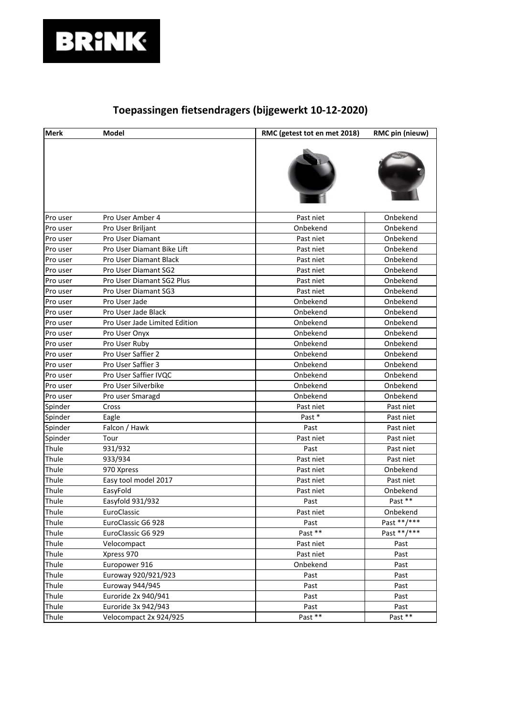

| <b>Merk</b> | <b>Model</b>                  | RMC (getest tot en met 2018) | RMC pin (nieuw) |
|-------------|-------------------------------|------------------------------|-----------------|
|             |                               |                              |                 |
| Pro user    | Pro User Amber 4              | Past niet                    | Onbekend        |
| Pro user    | Pro User Briljant             | Onbekend                     | Onbekend        |
| Pro user    | <b>Pro User Diamant</b>       | Past niet                    | Onbekend        |
| Pro user    | Pro User Diamant Bike Lift    | Past niet                    | Onbekend        |
| Pro user    | Pro User Diamant Black        | Past niet                    | Onbekend        |
| Pro user    | Pro User Diamant SG2          | Past niet                    | Onbekend        |
| Pro user    | Pro User Diamant SG2 Plus     | Past niet                    | Onbekend        |
| Pro user    | Pro User Diamant SG3          | Past niet                    | Onbekend        |
| Pro user    | Pro User Jade                 | Onbekend                     | Onbekend        |
| Pro user    | Pro User Jade Black           | Onbekend                     | Onbekend        |
| Pro user    | Pro User Jade Limited Edition | Onbekend                     | Onbekend        |
| Pro user    | Pro User Onyx                 | Onbekend                     | Onbekend        |
| Pro user    | Pro User Ruby                 | Onbekend                     | Onbekend        |
| Pro user    | Pro User Saffier 2            | Onbekend                     | Onbekend        |
| Pro user    | Pro User Saffier 3            | Onbekend                     | Onbekend        |
| Pro user    | Pro User Saffier IVQC         | Onbekend                     | Onbekend        |
| Pro user    | Pro User Silverbike           | Onbekend                     | Onbekend        |
| Pro user    | Pro user Smaragd              | Onbekend                     | Onbekend        |
| Spinder     | Cross                         | Past niet                    | Past niet       |
| Spinder     | Eagle                         | Past *                       | Past niet       |
| Spinder     | Falcon / Hawk                 | Past                         | Past niet       |
| Spinder     | Tour                          | Past niet                    | Past niet       |
| Thule       | 931/932                       | Past                         | Past niet       |
| Thule       | 933/934                       | Past niet                    | Past niet       |
| Thule       | 970 Xpress                    | Past niet                    | Onbekend        |
| Thule       | Easy tool model 2017          | Past niet                    | Past niet       |
| Thule       | EasyFold                      | Past niet                    | Onbekend        |
| Thule       | Easyfold 931/932              | Past                         | Past **         |
| Thule       | EuroClassic                   | Past niet                    | Onbekend        |
| Thule       | EuroClassic G6 928            | Past                         | Past **/***     |
| Thule       | EuroClassic G6 929            | Past **                      | Past **/***     |
| Thule       | Velocompact                   | Past niet                    | Past            |
| Thule       | Xpress 970                    | Past niet                    | Past            |
| Thule       | Europower 916                 | Onbekend                     | Past            |
| Thule       | Euroway 920/921/923           | Past                         | Past            |
| Thule       | Euroway 944/945               | Past                         | Past            |
| Thule       | Euroride 2x 940/941           | Past                         | Past            |
| Thule       | Euroride 3x 942/943           | Past                         | Past            |
| Thule       | Velocompact 2x 924/925        | Past **                      | Past **         |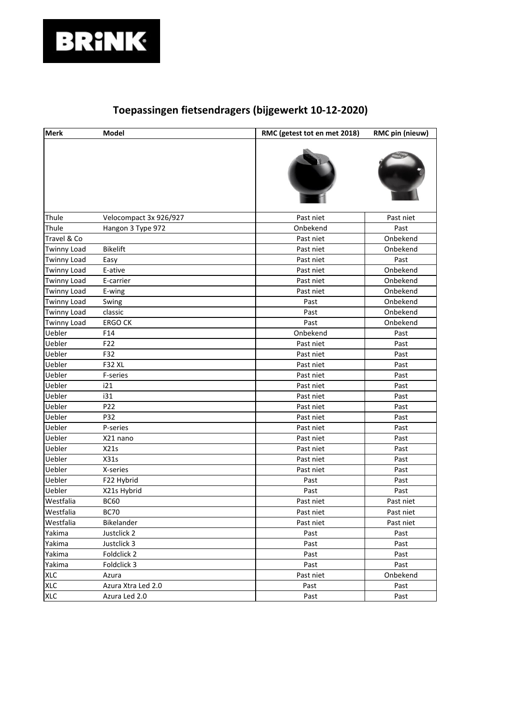

| <b>Merk</b>        | Model                  | RMC (getest tot en met 2018) | RMC pin (nieuw) |
|--------------------|------------------------|------------------------------|-----------------|
|                    |                        |                              |                 |
| Thule              | Velocompact 3x 926/927 | Past niet                    | Past niet       |
| Thule              | Hangon 3 Type 972      | Onbekend                     | Past            |
| Travel & Co        |                        | Past niet                    | Onbekend        |
| <b>Twinny Load</b> | <b>Bikelift</b>        | Past niet                    | Onbekend        |
| <b>Twinny Load</b> | Easy                   | Past niet                    | Past            |
| <b>Twinny Load</b> | E-ative                | Past niet                    | Onbekend        |
| <b>Twinny Load</b> | E-carrier              | Past niet                    | Onbekend        |
| <b>Twinny Load</b> | E-wing                 | Past niet                    | Onbekend        |
| <b>Twinny Load</b> | Swing                  | Past                         | Onbekend        |
| <b>Twinny Load</b> | classic                | Past                         | Onbekend        |
| <b>Twinny Load</b> | <b>ERGO CK</b>         | Past                         | Onbekend        |
| Uebler             | F14                    | Onbekend                     | Past            |
| Uebler             | F22                    | Past niet                    | Past            |
| Uebler             | F32                    | Past niet                    | Past            |
| Uebler             | <b>F32 XL</b>          | Past niet                    | Past            |
| Uebler             | F-series               | Past niet                    | Past            |
| Uebler             | i21                    | Past niet                    | Past            |
| Uebler             | i31                    | Past niet                    | Past            |
| Uebler             | P22                    | Past niet                    | Past            |
| Uebler             | P32                    | Past niet                    | Past            |
| Uebler             | P-series               | Past niet                    | Past            |
| Uebler             | X21 nano               | Past niet                    | Past            |
| Uebler             | X21s                   | Past niet                    | Past            |
| Uebler             | X31s                   | Past niet                    | Past            |
| Uebler             | X-series               | Past niet                    | Past            |
| Uebler             | F22 Hybrid             | Past                         | Past            |
| Uebler             | X21s Hybrid            | Past                         | Past            |
| Westfalia          | <b>BC60</b>            | Past niet                    | Past niet       |
| Westfalia          | <b>BC70</b>            | Past niet                    | Past niet       |
| Westfalia          | Bikelander             | Past niet                    | Past niet       |
| Yakima             | Justclick 2            | Past                         | Past            |
| Yakima             | Justclick 3            | Past                         | Past            |
| Yakima             | Foldclick 2            | Past                         | Past            |
| Yakima             | Foldclick 3            | Past                         | Past            |
| <b>XLC</b>         | Azura                  | Past niet                    | Onbekend        |
| <b>XLC</b>         | Azura Xtra Led 2.0     | Past                         | Past            |
| <b>XLC</b>         | Azura Led 2.0          | Past                         | Past            |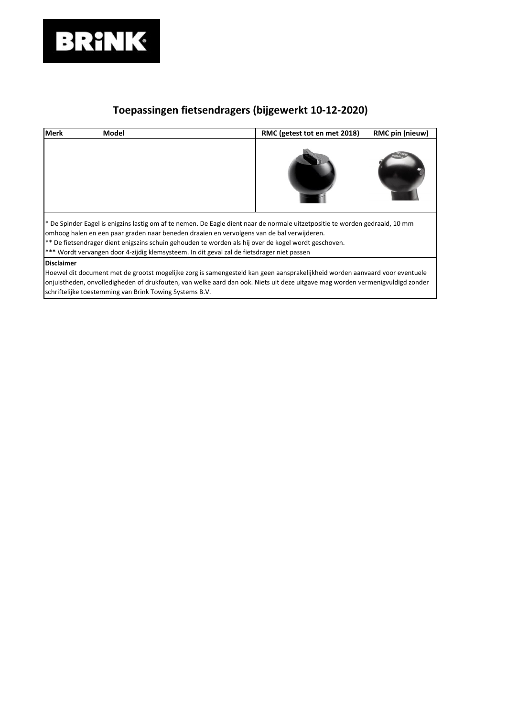

| <b>Merk</b>       | Model                                                                                                                                                                                                                                                                                                                                                                                                                            | RMC (getest tot en met 2018) | RMC pin (nieuw) |  |  |
|-------------------|----------------------------------------------------------------------------------------------------------------------------------------------------------------------------------------------------------------------------------------------------------------------------------------------------------------------------------------------------------------------------------------------------------------------------------|------------------------------|-----------------|--|--|
|                   |                                                                                                                                                                                                                                                                                                                                                                                                                                  |                              |                 |  |  |
|                   | * De Spinder Eagel is enigzins lastig om af te nemen. De Eagle dient naar de normale uitzetpositie te worden gedraaid, 10 mm<br>omhoog halen en een paar graden naar beneden draaien en vervolgens van de bal verwijderen.<br>** De fietsendrager dient enigszins schuin gehouden te worden als hij over de kogel wordt geschoven.<br>*** Wordt vervangen door 4-zijdig klemsysteem. In dit geval zal de fietsdrager niet passen |                              |                 |  |  |
| <b>Disclaimer</b> | Hoewel dit document met de grootst mogelijke zorg is samengesteld kan geen aansprakelijkheid worden aanvaard voor eventuele<br>onjuistheden, onvolledigheden of drukfouten, van welke aard dan ook. Niets uit deze uitgave mag worden vermenigvuldigd zonder<br>schriftelijke toestemming van Brink Towing Systems B.V.                                                                                                          |                              |                 |  |  |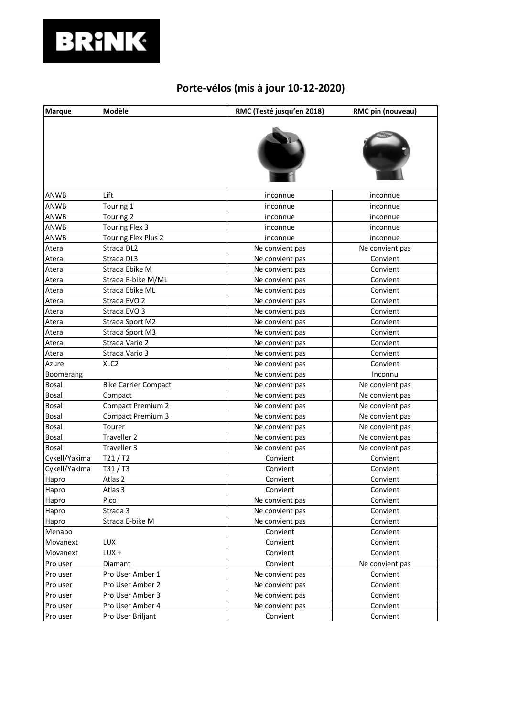## **BRINK**

## **Porte-vélos (mis à jour 10-12-2020)**

| <b>Marque</b> | Modèle                      | RMC (Testé jusqu'en 2018) | RMC pin (nouveau) |
|---------------|-----------------------------|---------------------------|-------------------|
|               |                             |                           |                   |
| ANWB          | Lift                        | inconnue                  | inconnue          |
| ANWB          | Touring 1                   | inconnue                  | inconnue          |
| ANWB          | Touring 2                   | inconnue                  | inconnue          |
| ANWB          | Touring Flex 3              | inconnue                  | inconnue          |
| ANWB          | Touring Flex Plus 2         | inconnue                  | inconnue          |
| Atera         | Strada DL2                  | Ne convient pas           | Ne convient pas   |
| Atera         | Strada DL3                  | Ne convient pas           | Convient          |
| Atera         | Strada Ebike M              | Ne convient pas           | Convient          |
| Atera         | Strada E-bike M/ML          | Ne convient pas           | Convient          |
| Atera         | Strada Ebike ML             | Ne convient pas           | Convient          |
| Atera         | Strada EVO 2                | Ne convient pas           | Convient          |
| Atera         | Strada EVO 3                | Ne convient pas           | Convient          |
| Atera         | Strada Sport M2             | Ne convient pas           | Convient          |
| Atera         | Strada Sport M3             | Ne convient pas           | Convient          |
| Atera         | Strada Vario 2              | Ne convient pas           | Convient          |
| Atera         | Strada Vario 3              | Ne convient pas           | Convient          |
| Azure         | XLC <sub>2</sub>            | Ne convient pas           | Convient          |
| Boomerang     |                             | Ne convient pas           | Inconnu           |
| Bosal         | <b>Bike Carrier Compact</b> | Ne convient pas           | Ne convient pas   |
| Bosal         | Compact                     | Ne convient pas           | Ne convient pas   |
| Bosal         | <b>Compact Premium 2</b>    | Ne convient pas           | Ne convient pas   |
| Bosal         | Compact Premium 3           | Ne convient pas           | Ne convient pas   |
| Bosal         | Tourer                      | Ne convient pas           | Ne convient pas   |
| Bosal         | Traveller 2                 | Ne convient pas           | Ne convient pas   |
| Bosal         | Traveller 3                 | Ne convient pas           | Ne convient pas   |
| Cykell/Yakima | T21/T2                      | Convient                  | Convient          |
| Cykell/Yakima | T31/T3                      | Convient                  | Convient          |
| Hapro         | Atlas 2                     | Convient                  | Convient          |
| Hapro         | Atlas 3                     | Convient                  | Convient          |
| Hapro         | Pico                        | Ne convient pas           | Convient          |
| Hapro         | Strada 3                    | Ne convient pas           | Convient          |
| Hapro         | Strada E-bike M             | Ne convient pas           | Convient          |
| Menabo        |                             | Convient                  | Convient          |
| Movanext      | <b>LUX</b>                  | Convient                  | Convient          |
| Movanext      | LUX +                       | Convient                  | Convient          |
| Pro user      | Diamant                     | Convient                  | Ne convient pas   |
| Pro user      | Pro User Amber 1            | Ne convient pas           | Convient          |
| Pro user      | Pro User Amber 2            | Ne convient pas           | Convient          |
| Pro user      | Pro User Amber 3            | Ne convient pas           | Convient          |
| Pro user      | Pro User Amber 4            | Ne convient pas           | Convient          |
| Pro user      | Pro User Briljant           | Convient                  | Convient          |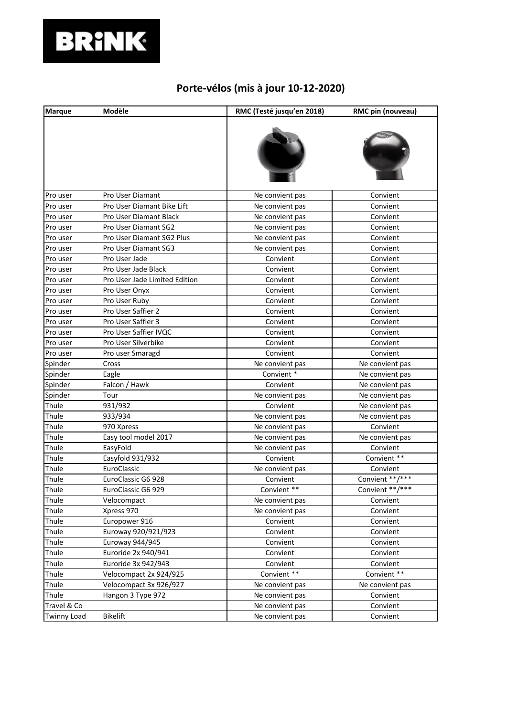## **BRINK**

## **Porte-vélos (mis à jour 10-12-2020)**

| <b>Marque</b>      | Modèle                        | RMC (Testé jusqu'en 2018) | RMC pin (nouveau) |
|--------------------|-------------------------------|---------------------------|-------------------|
|                    |                               |                           |                   |
| Pro user           | Pro User Diamant              | Ne convient pas           | Convient          |
| Pro user           | Pro User Diamant Bike Lift    | Ne convient pas           | Convient          |
| Pro user           | Pro User Diamant Black        | Ne convient pas           | Convient          |
| Pro user           | Pro User Diamant SG2          | Ne convient pas           | Convient          |
| Pro user           | Pro User Diamant SG2 Plus     | Ne convient pas           | Convient          |
| Pro user           | Pro User Diamant SG3          | Ne convient pas           | Convient          |
| Pro user           | Pro User Jade                 | Convient                  | Convient          |
| Pro user           | Pro User Jade Black           | Convient                  | Convient          |
| Pro user           | Pro User Jade Limited Edition | Convient                  | Convient          |
| Pro user           | Pro User Onyx                 | Convient                  | Convient          |
| Pro user           | Pro User Ruby                 | Convient                  | Convient          |
| Pro user           | Pro User Saffier 2            | Convient                  | Convient          |
| Pro user           | Pro User Saffier 3            | Convient                  | Convient          |
| Pro user           | Pro User Saffier IVQC         | Convient                  | Convient          |
| Pro user           | Pro User Silverbike           | Convient                  | Convient          |
| Pro user           | Pro user Smaragd              | Convient                  | Convient          |
| Spinder            | Cross                         | Ne convient pas           | Ne convient pas   |
| Spinder            | Eagle                         | Convient*                 | Ne convient pas   |
| Spinder            | Falcon / Hawk                 | Convient                  | Ne convient pas   |
| Spinder            | Tour                          | Ne convient pas           | Ne convient pas   |
| Thule              | 931/932                       | Convient                  | Ne convient pas   |
| Thule              | 933/934                       | Ne convient pas           | Ne convient pas   |
| Thule              | 970 Xpress                    | Ne convient pas           | Convient          |
| Thule              | Easy tool model 2017          | Ne convient pas           | Ne convient pas   |
| Thule              | EasyFold                      | Ne convient pas           | Convient          |
| Thule              | Easyfold 931/932              | Convient                  | Convient **       |
| Thule              | EuroClassic                   | Ne convient pas           | Convient          |
| Thule              | EuroClassic G6 928            | Convient                  | Convient **/***   |
| Thule              | EuroClassic G6 929            | Convient **               | Convient **/***   |
| Thule              | Velocompact                   | Ne convient pas           | Convient          |
| Thule              | Xpress 970                    | Ne convient pas           | Convient          |
| Thule              | Europower 916                 | Convient                  | Convient          |
| Thule              | Euroway 920/921/923           | Convient                  | Convient          |
| Thule              | Euroway 944/945               | Convient                  | Convient          |
| Thule              | Euroride 2x 940/941           | Convient                  | Convient          |
| Thule              | Euroride 3x 942/943           | Convient                  | Convient          |
| Thule              | Velocompact 2x 924/925        | Convient **               | Convient **       |
| Thule              | Velocompact 3x 926/927        | Ne convient pas           | Ne convient pas   |
| Thule              | Hangon 3 Type 972             | Ne convient pas           | Convient          |
| Travel & Co        |                               | Ne convient pas           | Convient          |
| <b>Twinny Load</b> | <b>Bikelift</b>               | Ne convient pas           | Convient          |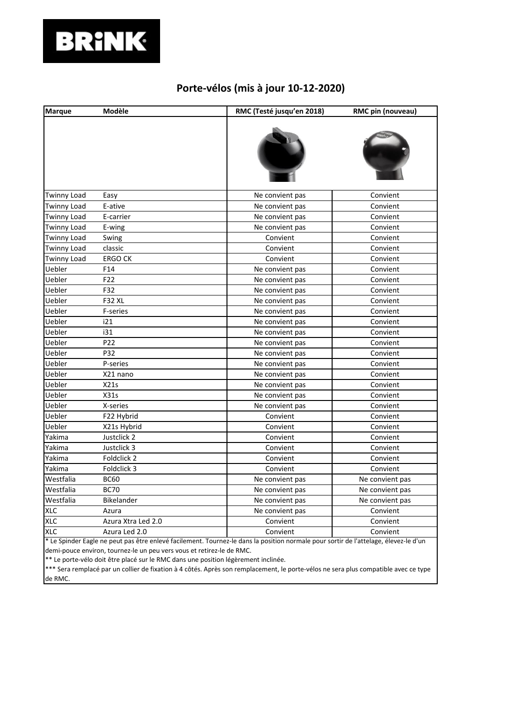

#### **Porte-vélos (mis à jour 10-12-2020)**

| <b>Marque</b>      | Modèle             | RMC (Testé jusqu'en 2018) | RMC pin (nouveau) |
|--------------------|--------------------|---------------------------|-------------------|
|                    |                    |                           |                   |
| <b>Twinny Load</b> | Easy               | Ne convient pas           | Convient          |
| <b>Twinny Load</b> | E-ative            | Ne convient pas           | Convient          |
| <b>Twinny Load</b> | E-carrier          | Ne convient pas           | Convient          |
| <b>Twinny Load</b> | E-wing             | Ne convient pas           | Convient          |
| <b>Twinny Load</b> | Swing              | Convient                  | Convient          |
| <b>Twinny Load</b> | classic            | Convient                  | Convient          |
| <b>Twinny Load</b> | <b>ERGO CK</b>     | Convient                  | Convient          |
| Uebler             | F14                | Ne convient pas           | Convient          |
| Uebler             | F22                | Ne convient pas           | Convient          |
| Uebler             | F32                | Ne convient pas           | Convient          |
| Uebler             | <b>F32 XL</b>      | Ne convient pas           | Convient          |
| Uebler             | F-series           | Ne convient pas           | Convient          |
| Uebler             | i21                | Ne convient pas           | Convient          |
| Uebler             | i31                | Ne convient pas           | Convient          |
| Uebler             | P <sub>22</sub>    | Ne convient pas           | Convient          |
| Uebler             | P32                | Ne convient pas           | Convient          |
| Uebler             | P-series           | Ne convient pas           | Convient          |
| Uebler             | X21 nano           | Ne convient pas           | Convient          |
| Uebler             | X21s               | Ne convient pas           | Convient          |
| Uebler             | X31s               | Ne convient pas           | Convient          |
| Uebler             | X-series           | Ne convient pas           | Convient          |
| Uebler             | F22 Hybrid         | Convient                  | Convient          |
| Uebler             | X21s Hybrid        | Convient                  | Convient          |
| Yakima             | Justclick 2        | Convient                  | Convient          |
| Yakima             | Justclick 3        | Convient                  | Convient          |
| Yakima             | Foldclick 2        | Convient                  | Convient          |
| Yakima             | Foldclick 3        | Convient                  | Convient          |
| Westfalia          | <b>BC60</b>        | Ne convient pas           | Ne convient pas   |
| Westfalia          | <b>BC70</b>        | Ne convient pas           | Ne convient pas   |
| Westfalia          | Bikelander         | Ne convient pas           | Ne convient pas   |
| <b>XLC</b>         | Azura              | Ne convient pas           | Convient          |
| <b>XLC</b>         | Azura Xtra Led 2.0 | Convient                  | Convient          |
| <b>XLC</b>         | Azura Led 2.0      | Convient                  | Convient          |

\* Le Spinder Eagle ne peut pas être enlevé facilement. Tournez-le dans la position normale pour sortir de l'attelage, élevez-le d'un demi-pouce environ, tournez-le un peu vers vous et retirez-le de RMC.

\*\* Le porte-vélo doit être placé sur le RMC dans une position légèrement inclinée.

\*\*\* Sera remplacé par un collier de fixation à 4 côtés. Après son remplacement, le porte-vélos ne sera plus compatible avec ce type de RMC.